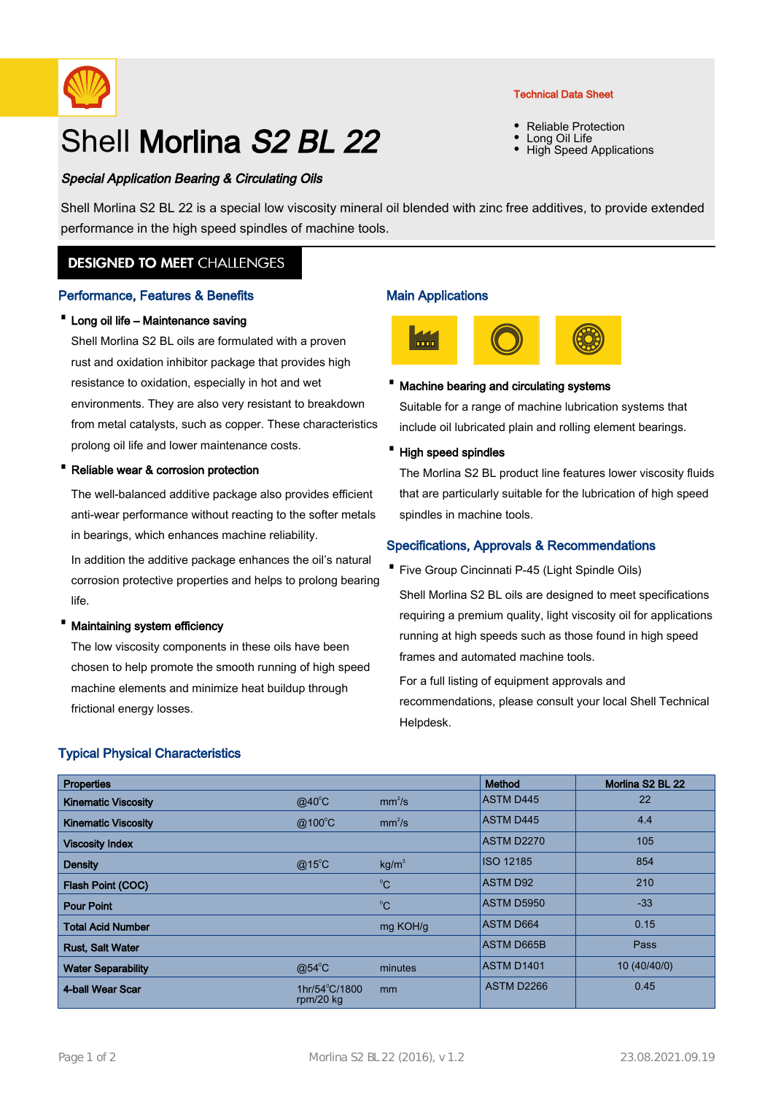

# Shell Morlina S<sub>2</sub> BL 22

## Special Application Bearing & Circulating Oils

Technical Data Sheet

- Reliable Protection
- Long Oil Life
- High Speed Applications

Shell Morlina S2 BL 22 is a special low viscosity mineral oil blended with zinc free additives, to provide extended performance in the high speed spindles of machine tools.

# **DESIGNED TO MEET CHALLENGES**

## Performance, Features & Benefits

## · Long oil life – Maintenance saving

Shell Morlina S2 BL oils are formulated with a proven rust and oxidation inhibitor package that provides high resistance to oxidation, especially in hot and wet environments. They are also very resistant to breakdown from metal catalysts, such as copper. These characteristics prolong oil life and lower maintenance costs.

## Reliable wear & corrosion protection

The well-balanced additive package also provides efficient anti-wear performance without reacting to the softer metals in bearings, which enhances machine reliability.

In addition the additive package enhances the oil's natural corrosion protective properties and helps to prolong bearing life.

## Maintaining system efficiency

The low viscosity components in these oils have been chosen to help promote the smooth running of high speed machine elements and minimize heat buildup through frictional energy losses.

## Typical Physical Characteristics

# Main Applications



## · Machine bearing and circulating systems

Suitable for a range of machine lubrication systems that include oil lubricated plain and rolling element bearings.

· High speed spindles

The Morlina S2 BL product line features lower viscosity fluids that are particularly suitable for the lubrication of high speed spindles in machine tools.

## Specifications, Approvals & Recommendations

Five Group Cincinnati P-45 (Light Spindle Oils)

Shell Morlina S2 BL oils are designed to meet specifications requiring a premium quality, light viscosity oil for applications running at high speeds such as those found in high speed frames and automated machine tools.

For a full listing of equipment approvals and recommendations, please consult your local Shell Technical Helpdesk.

| <b>Properties</b>          |                                       |                    | Method            | Morlina S2 BL 22 |
|----------------------------|---------------------------------------|--------------------|-------------------|------------------|
| <b>Kinematic Viscosity</b> | $@40^{\circ}$ C                       | mm <sup>2</sup> /s | <b>ASTM D445</b>  | 22               |
| <b>Kinematic Viscosity</b> | $@100^{\circ}$ C                      | mm <sup>2</sup> /s | <b>ASTM D445</b>  | 4.4              |
| <b>Viscosity Index</b>     |                                       |                    | <b>ASTM D2270</b> | 105              |
| <b>Density</b>             | $@15^{\circ}$ C                       | kg/m <sup>3</sup>  | <b>ISO 12185</b>  | 854              |
| Flash Point (COC)          |                                       | $^{\circ}C$        | <b>ASTM D92</b>   | 210              |
| <b>Pour Point</b>          |                                       | $^{\circ}C$        | <b>ASTM D5950</b> | $-33$            |
| <b>Total Acid Number</b>   |                                       | mg KOH/g           | <b>ASTM D664</b>  | 0.15             |
| <b>Rust, Salt Water</b>    |                                       |                    | <b>ASTM D665B</b> | Pass             |
| <b>Water Separability</b>  | $@54^{\circ}$ C                       | minutes            | <b>ASTM D1401</b> | 10 (40/40/0)     |
| 4-ball Wear Scar           | $1hr/54^{\circ}C/1800$<br>rpm/20 $kg$ | m <sub>m</sub>     | ASTM D2266        | 0.45             |